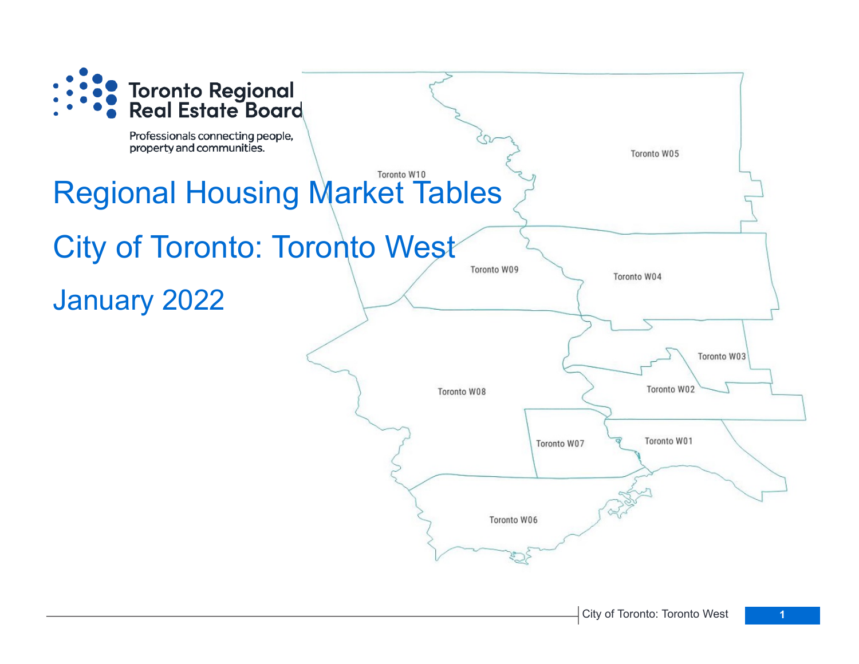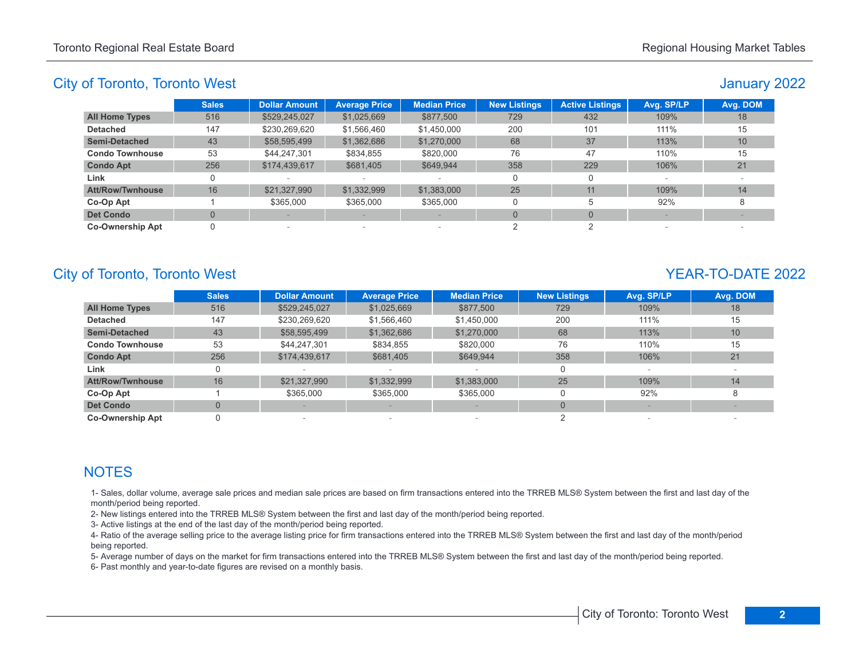# January 2022

|                         | Sales | <b>Dollar Amount</b> | <b>Average Price</b>     | <b>Median Price</b>      | <b>New Listings</b> | <b>Active Listings</b> | Avg. SP/LP | Avg. DOM        |
|-------------------------|-------|----------------------|--------------------------|--------------------------|---------------------|------------------------|------------|-----------------|
| <b>All Home Types</b>   | 516   | \$529,245,027        | \$1,025,669              | \$877,500                | 729                 | 432                    | 109%       | 18              |
| <b>Detached</b>         | 147   | \$230,269,620        | \$1,566,460              | \$1,450,000              | 200                 | 101                    | 111%       | 15              |
| <b>Semi-Detached</b>    | 43    | \$58,595,499         | \$1,362,686              | \$1,270,000              | 68                  | 37                     | 113%       | 10 <sup>1</sup> |
| <b>Condo Townhouse</b>  | 53    | \$44,247,301         | \$834,855                | \$820,000                | 76                  | 47                     | 110%       | 15              |
| <b>Condo Apt</b>        | 256   | \$174,439,617        | \$681,405                | \$649.944                | 358                 | 229                    | 106%       | 21              |
| Link                    |       |                      | $\sim$                   |                          | $\Omega$            |                        |            |                 |
| <b>Att/Row/Twnhouse</b> | 16    | \$21,327,990         | \$1,332,999              | \$1,383,000              | 25                  | 11                     | 109%       | 14              |
| Co-Op Apt               |       | \$365,000            | \$365,000                | \$365,000                | 0                   | 5                      | 92%        |                 |
| <b>Det Condo</b>        |       |                      |                          |                          | $\Omega$            | $\Omega$               |            |                 |
| <b>Co-Ownership Apt</b> |       | $\sim$               | $\overline{\phantom{a}}$ | $\overline{\phantom{a}}$ |                     |                        |            |                 |

# City of Toronto, Toronto West **YEAR-TO-DATE** 2022

|                         | <b>Sales</b>   | <b>Dollar Amount</b> | <b>Average Price</b>     | <b>Median Price</b> | <b>New Listings</b> | Avg. SP/LP | Avg. DOM |
|-------------------------|----------------|----------------------|--------------------------|---------------------|---------------------|------------|----------|
| <b>All Home Types</b>   | 516            | \$529,245,027        | \$1,025,669              | \$877,500           | 729                 | 109%       | 18       |
| <b>Detached</b>         | 147            | \$230,269,620        | \$1,566,460              | \$1,450,000         | 200                 | 111%       | 15       |
| <b>Semi-Detached</b>    | 43             | \$58,595,499         | \$1,362,686              | \$1,270,000         | 68                  | 113%       | 10       |
| <b>Condo Townhouse</b>  | 53             | \$44,247,301         | \$834,855                | \$820,000           | 76                  | 110%       | 15       |
| <b>Condo Apt</b>        | 256            | \$174,439,617        | \$681,405                | \$649,944           | 358                 | 106%       | 21       |
| Link                    | 0              |                      |                          |                     |                     |            |          |
| <b>Att/Row/Twnhouse</b> | 16             | \$21,327,990         | \$1,332,999              | \$1,383,000         | 25                  | 109%       | 14       |
| Co-Op Apt               |                | \$365,000            | \$365,000                | \$365,000           |                     | 92%        |          |
| <b>Det Condo</b>        | $\overline{0}$ |                      |                          |                     |                     |            |          |
| <b>Co-Ownership Apt</b> |                |                      | $\overline{\phantom{a}}$ |                     |                     |            |          |

# **NOTES**

1- Sales, dollar volume, average sale prices and median sale prices are based on firm transactions entered into the TRREB MLS® System between the first and last day of the month/period being reported.

2- New listings entered into the TRREB MLS® System between the first and last day of the month/period being reported.

3- Active listings at the end of the last day of the month/period being reported.

4- Ratio of the average selling price to the average listing price for firm transactions entered into the TRREB MLS® System between the first and last day of the month/period being reported.

5- Average number of days on the market for firm transactions entered into the TRREB MLS® System between the first and last day of the month/period being reported.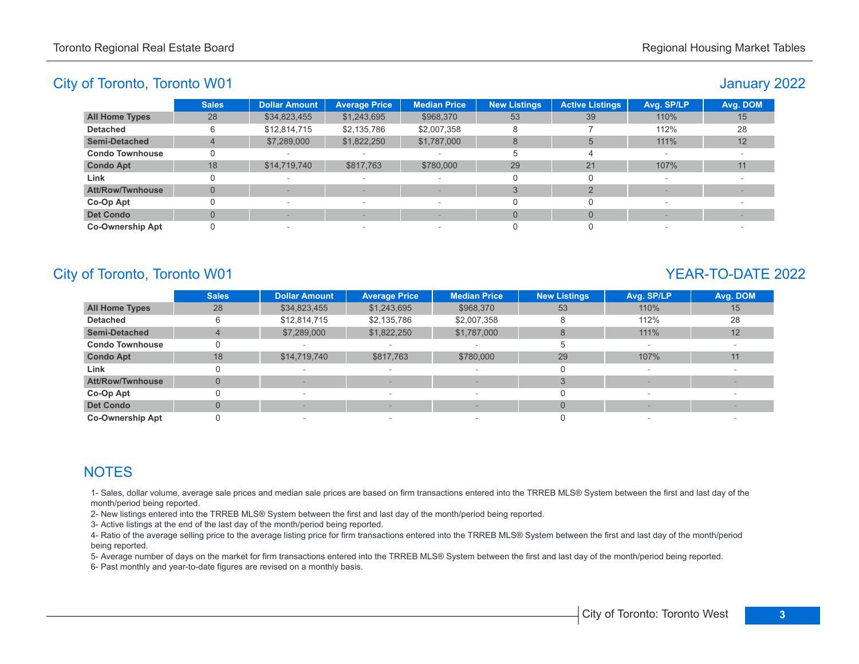### January 2022

|                         | <b>Sales</b> | <b>Dollar Amount</b> | <b>Average Price</b>     | <b>Median Price</b>      | <b>New Listings</b> | <b>Active Listings</b> | Avg. SP/LP               | Avg. DOM |
|-------------------------|--------------|----------------------|--------------------------|--------------------------|---------------------|------------------------|--------------------------|----------|
| <b>All Home Types</b>   | 28           | \$34,823,455         | \$1,243,695              | \$968,370                | 53                  | 39                     | 110%                     | 15       |
| <b>Detached</b>         |              | \$12,814,715         | \$2,135,786              | \$2,007,358              |                     |                        | 112%                     | 28       |
| <b>Semi-Detached</b>    |              | \$7,289,000          | \$1,822,250              | \$1,787,000              | 8                   |                        | 111%                     | 12       |
| <b>Condo Townhouse</b>  |              |                      |                          |                          |                     | Δ                      |                          |          |
| <b>Condo Apt</b>        | 18           | \$14,719,740         | \$817,763                | \$780,000                | 29                  | 21                     | 107%                     | 11       |
| Link                    |              | $\,$                 | $\overline{\phantom{a}}$ | $\qquad \qquad$          |                     | 0                      | $\overline{\phantom{a}}$ |          |
| <b>Att/Row/Twnhouse</b> |              |                      |                          |                          |                     |                        |                          |          |
| Co-Op Apt               |              | $\,$                 | $\overline{\phantom{a}}$ | $\overline{\phantom{a}}$ |                     |                        |                          |          |
| <b>Det Condo</b>        |              |                      |                          |                          |                     | $\Omega$               |                          |          |
| <b>Co-Ownership Apt</b> |              | $\sim$               | $\overline{\phantom{a}}$ | $\qquad \qquad$          |                     |                        |                          |          |

# City of Toronto, Toronto W01 YEAR-TO-DATE 2022

|                         | <b>Sales</b> | <b>Dollar Amount</b> | <b>Average Price</b>     | <b>Median Price</b>      | <b>New Listings</b> | Avg. SP/LP | Avg. DOM |
|-------------------------|--------------|----------------------|--------------------------|--------------------------|---------------------|------------|----------|
| <b>All Home Types</b>   | 28           | \$34,823,455         | \$1,243,695              | \$968,370                | 53                  | 110%       | 15       |
| <b>Detached</b>         | 6            | \$12,814,715         | \$2,135,786              | \$2,007,358              | 8                   | 112%       | 28       |
| <b>Semi-Detached</b>    |              | \$7,289,000          | \$1,822,250              | \$1,787,000              | 8                   | 111%       | 12       |
| <b>Condo Townhouse</b>  |              |                      |                          |                          |                     |            |          |
| <b>Condo Apt</b>        | 18           | \$14,719,740         | \$817,763                | \$780,000                | 29                  | 107%       | 11       |
| Link                    |              |                      |                          |                          |                     |            |          |
| <b>Att/Row/Twnhouse</b> | $\Omega$     |                      |                          |                          |                     |            |          |
| Co-Op Apt               |              |                      | $\sim$                   |                          | 0                   |            |          |
| <b>Det Condo</b>        | $\Omega$     |                      |                          | $\overline{\phantom{a}}$ | $\Omega$            |            |          |
| <b>Co-Ownership Apt</b> |              |                      | $\overline{\phantom{a}}$ |                          |                     |            |          |

# **NOTES**

1- Sales, dollar volume, average sale prices and median sale prices are based on firm transactions entered into the TRREB MLS® System between the first and last day of the month/period being reported.

2- New listings entered into the TRREB MLS® System between the first and last day of the month/period being reported.

3- Active listings at the end of the last day of the month/period being reported.

4- Ratio of the average selling price to the average listing price for firm transactions entered into the TRREB MLS® System between the first and last day of the month/period being reported.

5- Average number of days on the market for firm transactions entered into the TRREB MLS® System between the first and last day of the month/period being reported.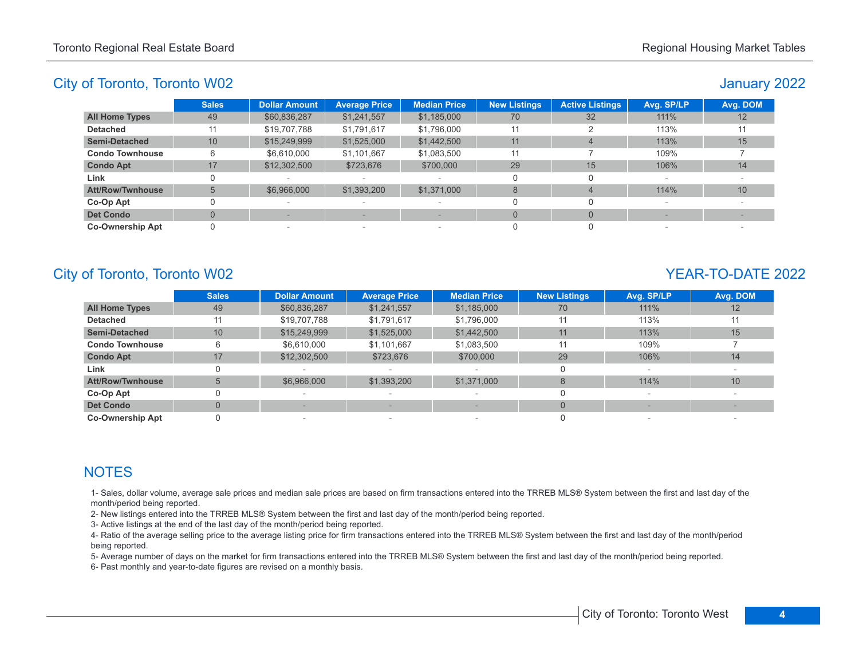### January 2022

|                         | <b>Sales</b>    | <b>Dollar Amount</b>     | <b>Average Price</b> | <b>Median Price</b>      | <b>New Listings</b> | <b>Active Listings</b> | Avg. SP/LP               | Avg. DOM |
|-------------------------|-----------------|--------------------------|----------------------|--------------------------|---------------------|------------------------|--------------------------|----------|
| <b>All Home Types</b>   | 49              | \$60,836,287             | \$1,241,557          | \$1,185,000              | 70                  | 32                     | 111%                     | 12       |
| <b>Detached</b>         | 11              | \$19,707,788             | \$1,791,617          | \$1,796,000              | 11                  |                        | 113%                     | 11       |
| <b>Semi-Detached</b>    | 10 <sup>°</sup> | \$15,249,999             | \$1,525,000          | \$1,442,500              | 11                  | $\overline{a}$         | 113%                     | 15       |
| <b>Condo Townhouse</b>  | 6               | \$6,610,000              | \$1,101,667          | \$1,083,500              | 11                  |                        | 109%                     |          |
| <b>Condo Apt</b>        | 17              | \$12,302,500             | \$723,676            | \$700,000                | 29                  | 15                     | 106%                     | 14       |
| Link                    |                 |                          | $\sim$               |                          |                     | O                      | $\overline{\phantom{a}}$ |          |
| <b>Att/Row/Twnhouse</b> |                 | \$6,966,000              | \$1,393,200          | \$1,371,000              | 8                   | $\Delta$               | 114%                     | 10       |
| Co-Op Apt               |                 |                          |                      | $\overline{\phantom{0}}$ |                     |                        |                          |          |
| <b>Det Condo</b>        |                 |                          |                      |                          | $\Omega$            | $\Omega$               |                          |          |
| <b>Co-Ownership Apt</b> |                 | $\overline{\phantom{a}}$ | $\sim$               | $\sim$                   |                     |                        |                          |          |

# City of Toronto, Toronto W02 YEAR-TO-DATE 2022

|                         | <b>Sales</b> | <b>Dollar Amount</b> | <b>Average Price</b>            | <b>Median Price</b> | <b>New Listings</b> | Avg. SP/LP | Avg. DOM |
|-------------------------|--------------|----------------------|---------------------------------|---------------------|---------------------|------------|----------|
| <b>All Home Types</b>   | 49           | \$60,836,287         | \$1,241,557                     | \$1,185,000         | 70                  | 111%       | 12       |
| <b>Detached</b>         | 11           | \$19,707,788         | \$1,791,617                     | \$1,796,000         | 11                  | 113%       | 11       |
| <b>Semi-Detached</b>    | 10           | \$15,249,999         | \$1,525,000                     | \$1,442,500         | 11                  | 113%       | 15       |
| <b>Condo Townhouse</b>  | 6            | \$6,610,000          | \$1,101,667                     | \$1,083,500         | 11                  | 109%       |          |
| <b>Condo Apt</b>        | 17           | \$12,302,500         | \$723,676                       | \$700,000           | 29                  | 106%       | 14       |
| Link                    |              |                      |                                 |                     |                     |            |          |
| <b>Att/Row/Twnhouse</b> | 5            | \$6,966,000          | \$1,393,200                     | \$1,371,000         | 8                   | 114%       | 10       |
| Co-Op Apt               |              |                      |                                 |                     |                     |            |          |
| <b>Det Condo</b>        | $\Omega$     |                      |                                 |                     | $\Omega$            |            |          |
| <b>Co-Ownership Apt</b> |              |                      | $\hspace{0.1mm}-\hspace{0.1mm}$ |                     |                     |            |          |

# **NOTES**

1- Sales, dollar volume, average sale prices and median sale prices are based on firm transactions entered into the TRREB MLS® System between the first and last day of the month/period being reported.

2- New listings entered into the TRREB MLS® System between the first and last day of the month/period being reported.

3- Active listings at the end of the last day of the month/period being reported.

4- Ratio of the average selling price to the average listing price for firm transactions entered into the TRREB MLS® System between the first and last day of the month/period being reported.

5- Average number of days on the market for firm transactions entered into the TRREB MLS® System between the first and last day of the month/period being reported.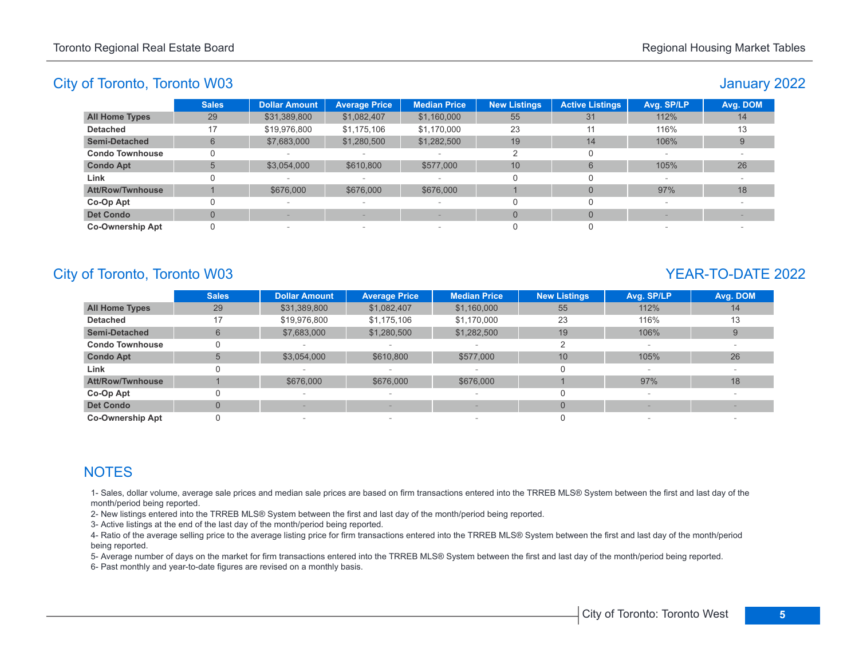# January 2022

|                         | <b>Sales</b> | <b>Dollar Amount</b>     | <b>Average Price</b>     | <b>Median Price</b>      | <b>New Listings</b> | <b>Active Listings</b> | Avg. SP/LP | Avg. DOM |
|-------------------------|--------------|--------------------------|--------------------------|--------------------------|---------------------|------------------------|------------|----------|
| <b>All Home Types</b>   | 29           | \$31,389,800             | \$1,082,407              | \$1,160,000              | 55                  | 31                     | 112%       | 14       |
| <b>Detached</b>         | 17           | \$19,976,800             | \$1,175,106              | \$1,170,000              | 23                  | 11                     | 116%       | 13       |
| <b>Semi-Detached</b>    | 6            | \$7,683,000              | \$1,280,500              | \$1,282,500              | 19                  | 14                     | 106%       |          |
| <b>Condo Townhouse</b>  |              |                          |                          | $\overline{\phantom{a}}$ |                     |                        |            |          |
| <b>Condo Apt</b>        | 5            | \$3,054,000              | \$610,800                | \$577,000                | 10                  | 6                      | 105%       | 26       |
| Link                    |              | $\overline{\phantom{0}}$ |                          | $\overline{\phantom{a}}$ |                     |                        |            |          |
| <b>Att/Row/Twnhouse</b> |              | \$676,000                | \$676,000                | \$676,000                |                     |                        | 97%        | 18       |
| Co-Op Apt               |              |                          | $\overline{\phantom{a}}$ | $\overline{\phantom{a}}$ |                     |                        |            |          |
| <b>Det Condo</b>        |              |                          |                          |                          | $\Omega$            |                        |            |          |
| <b>Co-Ownership Apt</b> |              | -                        | $\sim$                   | $\overline{\phantom{a}}$ |                     |                        |            |          |

# City of Toronto, Toronto W03 YEAR-TO-DATE 2022

|                         | <b>Sales</b> | <b>Dollar Amount</b> | <b>Average Price</b>     | <b>Median Price</b>      | <b>New Listings</b> | Avg. SP/LP | Avg. DOM |
|-------------------------|--------------|----------------------|--------------------------|--------------------------|---------------------|------------|----------|
| <b>All Home Types</b>   | 29           | \$31,389,800         | \$1,082,407              | \$1,160,000              | 55                  | 112%       | 14       |
| <b>Detached</b>         | 17           | \$19,976,800         | \$1,175,106              | \$1,170,000              | 23                  | 116%       | 13       |
| <b>Semi-Detached</b>    | 6            | \$7,683,000          | \$1,280,500              | \$1,282,500              | 19                  | 106%       |          |
| <b>Condo Townhouse</b>  |              |                      |                          |                          |                     |            |          |
| <b>Condo Apt</b>        |              | \$3,054,000          | \$610,800                | \$577,000                | 10                  | 105%       | 26       |
| Link                    |              |                      |                          |                          |                     |            |          |
| <b>Att/Row/Twnhouse</b> |              | \$676,000            | \$676,000                | \$676,000                |                     | 97%        | 18       |
| Co-Op Apt               |              |                      |                          |                          | 0                   |            |          |
| <b>Det Condo</b>        | $\Omega$     |                      |                          | $\overline{\phantom{a}}$ | $\Omega$            |            |          |
| <b>Co-Ownership Apt</b> |              |                      | $\overline{\phantom{a}}$ |                          |                     |            |          |

# **NOTES**

1- Sales, dollar volume, average sale prices and median sale prices are based on firm transactions entered into the TRREB MLS® System between the first and last day of the month/period being reported.

2- New listings entered into the TRREB MLS® System between the first and last day of the month/period being reported.

3- Active listings at the end of the last day of the month/period being reported.

4- Ratio of the average selling price to the average listing price for firm transactions entered into the TRREB MLS® System between the first and last day of the month/period being reported.

5- Average number of days on the market for firm transactions entered into the TRREB MLS® System between the first and last day of the month/period being reported.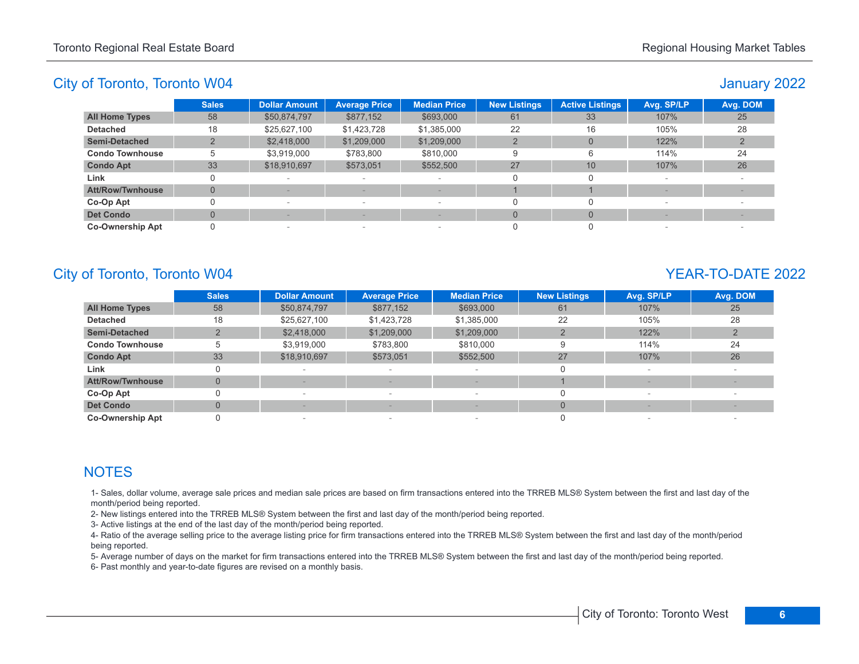# January 2022

|                         | <b>Sales</b> | <b>Dollar Amount</b>     | <b>Average Price</b>     | <b>Median Price</b>             | <b>New Listings</b> | <b>Active Listings</b> | Avg. SP/LP | Avg. DOM |
|-------------------------|--------------|--------------------------|--------------------------|---------------------------------|---------------------|------------------------|------------|----------|
| <b>All Home Types</b>   | 58           | \$50,874,797             | \$877,152                | \$693,000                       | 61                  | 33                     | 107%       | 25       |
| <b>Detached</b>         | 18           | \$25,627,100             | \$1,423,728              | \$1,385,000                     | 22                  | 16                     | 105%       | 28       |
| <b>Semi-Detached</b>    |              | \$2,418,000              | \$1,209,000              | \$1,209,000                     |                     | $\Omega$               | 122%       |          |
| <b>Condo Townhouse</b>  |              | \$3,919,000              | \$783.800                | \$810,000                       |                     | 6                      | 114%       | 24       |
| <b>Condo Apt</b>        | 33           | \$18,910,697             | \$573,051                | \$552,500                       | 27                  | 10                     | 107%       | 26       |
| Link                    |              | $\overline{\phantom{a}}$ | $\overline{\phantom{a}}$ |                                 |                     |                        |            |          |
| <b>Att/Row/Twnhouse</b> | $\Omega$     |                          |                          |                                 |                     |                        |            |          |
| Co-Op Apt               |              | $\,$                     | $\overline{\phantom{a}}$ | $\hspace{0.1mm}-\hspace{0.1mm}$ |                     |                        |            |          |
| <b>Det Condo</b>        |              |                          |                          |                                 |                     | $\Omega$               |            |          |
| <b>Co-Ownership Apt</b> |              | $\sim$                   |                          | $\overline{\phantom{a}}$        |                     |                        |            |          |

# City of Toronto, Toronto W04 YEAR-TO-DATE 2022

|                         | <b>Sales</b> | <b>Dollar Amount</b> | <b>Average Price</b>     | <b>Median Price</b>      | <b>New Listings</b> | Avg. SP/LP | Avg. DOM |
|-------------------------|--------------|----------------------|--------------------------|--------------------------|---------------------|------------|----------|
| <b>All Home Types</b>   | 58           | \$50,874,797         | \$877,152                | \$693,000                | 61                  | 107%       | 25       |
| <b>Detached</b>         | 18           | \$25,627,100         | \$1,423,728              | \$1,385,000              | 22                  | 105%       | 28       |
| <b>Semi-Detached</b>    |              | \$2,418,000          | \$1,209,000              | \$1,209,000              |                     | 122%       |          |
| <b>Condo Townhouse</b>  | 5            | \$3,919,000          | \$783,800                | \$810,000                | 9                   | 114%       | 24       |
| <b>Condo Apt</b>        | 33           | \$18,910,697         | \$573,051                | \$552,500                | 27                  | 107%       | 26       |
| Link                    |              |                      |                          |                          |                     |            |          |
| <b>Att/Row/Twnhouse</b> | $\Omega$     |                      |                          | $\sim$                   |                     |            |          |
| Co-Op Apt               |              |                      | $\overline{\phantom{a}}$ | $\overline{\phantom{a}}$ |                     |            |          |
| <b>Det Condo</b>        | $\Omega$     |                      |                          | $\qquad \qquad$          |                     |            |          |
| <b>Co-Ownership Apt</b> |              |                      | $\overline{\phantom{a}}$ |                          |                     |            |          |

# **NOTES**

1- Sales, dollar volume, average sale prices and median sale prices are based on firm transactions entered into the TRREB MLS® System between the first and last day of the month/period being reported.

2- New listings entered into the TRREB MLS® System between the first and last day of the month/period being reported.

3- Active listings at the end of the last day of the month/period being reported.

4- Ratio of the average selling price to the average listing price for firm transactions entered into the TRREB MLS® System between the first and last day of the month/period being reported.

5- Average number of days on the market for firm transactions entered into the TRREB MLS® System between the first and last day of the month/period being reported.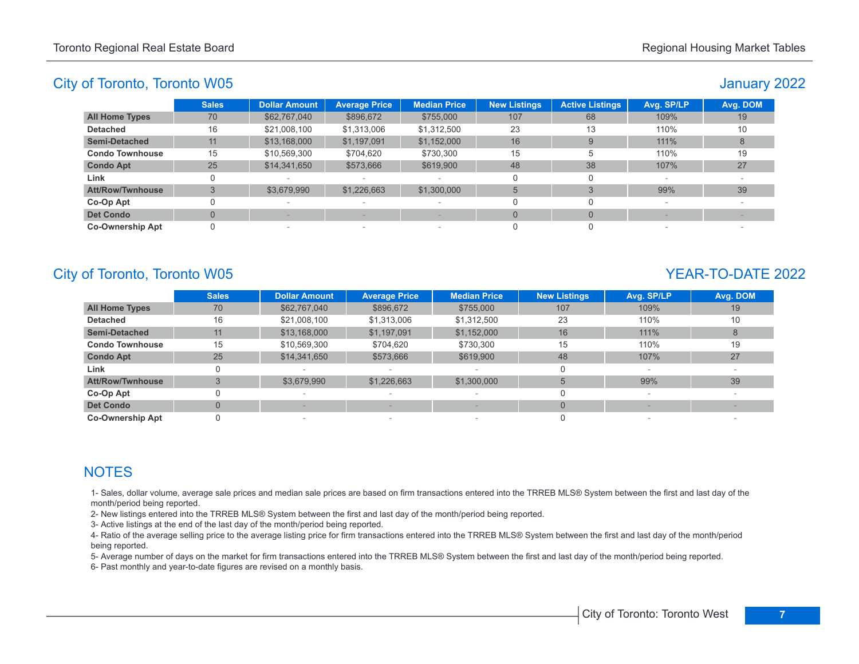# January 2022

|                         | <b>Sales</b> | <b>Dollar Amount</b>     | <b>Average Price</b> | <b>Median Price</b>      | <b>New Listings</b> | <b>Active Listings</b> | Avg. SP/LP | Avg. DOM |
|-------------------------|--------------|--------------------------|----------------------|--------------------------|---------------------|------------------------|------------|----------|
| <b>All Home Types</b>   | 70           | \$62,767,040             | \$896,672            | \$755,000                | 107                 | 68                     | 109%       | 19       |
| <b>Detached</b>         | 16           | \$21,008,100             | \$1,313,006          | \$1,312,500              | 23                  | 13                     | 110%       | 10       |
| <b>Semi-Detached</b>    | 11           | \$13,168,000             | \$1,197,091          | \$1,152,000              | 16                  | 9                      | 111%       |          |
| <b>Condo Townhouse</b>  | 15           | \$10,569,300             | \$704,620            | \$730,300                | 15                  |                        | 110%       | 19       |
| <b>Condo Apt</b>        | 25           | \$14,341,650             | \$573,666            | \$619,900                | 48                  | 38                     | 107%       | 27       |
| Link                    |              |                          |                      | $\sim$                   |                     | O                      | $\sim$     |          |
| <b>Att/Row/Twnhouse</b> |              | \$3,679,990              | \$1,226,663          | \$1,300,000              | 5                   |                        | 99%        | 39       |
| Co-Op Apt               |              | $\sim$                   |                      | $\overline{\phantom{a}}$ |                     |                        |            |          |
| <b>Det Condo</b>        |              |                          |                      |                          | $\Omega$            | $\Omega$               |            |          |
| <b>Co-Ownership Apt</b> |              | $\overline{\phantom{a}}$ | $\sim$               | $\overline{\phantom{a}}$ |                     |                        | $\sim$     |          |

# City of Toronto, Toronto W05 YEAR-TO-DATE 2022

|                         | <b>Sales</b>   | <b>Dollar Amount</b> | <b>Average Price</b>     | <b>Median Price</b> | <b>New Listings</b> | Avg. SP/LP | Avg. DOM |
|-------------------------|----------------|----------------------|--------------------------|---------------------|---------------------|------------|----------|
| <b>All Home Types</b>   | 70             | \$62,767,040         | \$896,672                | \$755,000           | 107                 | 109%       | 19       |
| <b>Detached</b>         | 16             | \$21,008,100         | \$1,313,006              | \$1,312,500         | 23                  | 110%       | 10       |
| <b>Semi-Detached</b>    | 11             | \$13,168,000         | \$1,197,091              | \$1,152,000         | 16                  | 111%       | 8        |
| <b>Condo Townhouse</b>  | 15             | \$10,569,300         | \$704,620                | \$730.300           | 15                  | 110%       | 19       |
| <b>Condo Apt</b>        | 25             | \$14,341,650         | \$573,666                | \$619,900           | 48                  | 107%       | 27       |
| Link                    | 0              |                      |                          |                     |                     |            |          |
| <b>Att/Row/Twnhouse</b> | 3              | \$3,679,990          | \$1,226,663              | \$1,300,000         |                     | 99%        | 39       |
| Co-Op Apt               |                |                      |                          |                     |                     |            |          |
| <b>Det Condo</b>        | $\overline{0}$ |                      |                          |                     | $\Omega$            |            |          |
| <b>Co-Ownership Apt</b> |                |                      | $\overline{\phantom{0}}$ |                     |                     |            |          |

# **NOTES**

1- Sales, dollar volume, average sale prices and median sale prices are based on firm transactions entered into the TRREB MLS® System between the first and last day of the month/period being reported.

2- New listings entered into the TRREB MLS® System between the first and last day of the month/period being reported.

3- Active listings at the end of the last day of the month/period being reported.

4- Ratio of the average selling price to the average listing price for firm transactions entered into the TRREB MLS® System between the first and last day of the month/period being reported.

5- Average number of days on the market for firm transactions entered into the TRREB MLS® System between the first and last day of the month/period being reported.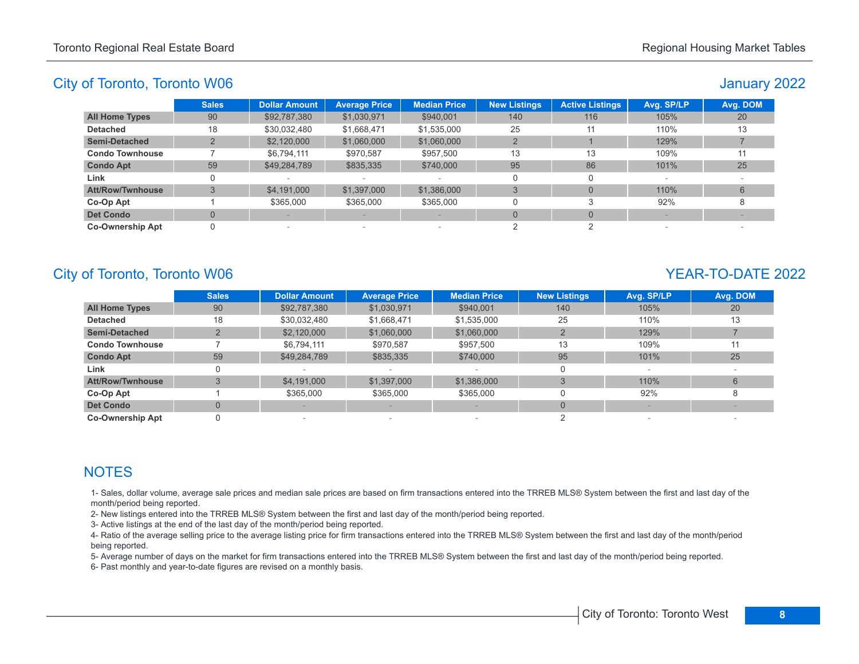# January 2022

|                         | <b>Sales</b> | <b>Dollar Amount</b> | <b>Average Price</b>     | <b>Median Price</b>      | <b>New Listings</b> | <b>Active Listings</b> | Avg. SP/LP | Avg. DOM |
|-------------------------|--------------|----------------------|--------------------------|--------------------------|---------------------|------------------------|------------|----------|
| <b>All Home Types</b>   | 90           | \$92,787,380         | \$1,030,971              | \$940,001                | 140                 | 116                    | 105%       | 20       |
| <b>Detached</b>         | 18           | \$30,032,480         | \$1,668,471              | \$1,535,000              | 25                  | 11                     | 110%       | 13       |
| <b>Semi-Detached</b>    |              | \$2,120,000          | \$1,060,000              | \$1,060,000              |                     |                        | 129%       |          |
| <b>Condo Townhouse</b>  |              | \$6.794.111          | \$970.587                | \$957,500                | 13                  | 13                     | 109%       |          |
| <b>Condo Apt</b>        | 59           | \$49,284,789         | \$835,335                | \$740,000                | 95                  | 86                     | 101%       | 25       |
| Link                    |              |                      | $\overline{\phantom{a}}$ |                          | O                   |                        |            |          |
| <b>Att/Row/Twnhouse</b> |              | \$4,191,000          | \$1,397,000              | \$1,386,000              | 3                   | $\Omega$               | 110%       | 6        |
| Co-Op Apt               |              | \$365,000            | \$365,000                | \$365,000                | 0                   |                        | 92%        |          |
| <b>Det Condo</b>        |              |                      |                          |                          | $\Omega$            | $\Omega$               |            |          |
| <b>Co-Ownership Apt</b> |              |                      | $\overline{\phantom{a}}$ | $\overline{\phantom{a}}$ |                     |                        |            |          |

# City of Toronto, Toronto W06 YEAR-TO-DATE 2022

|                         | <b>Sales</b> | <b>Dollar Amount</b> | <b>Average Price</b> | <b>Median Price</b> | <b>New Listings</b> | Avg. SP/LP | Avg. DOM |
|-------------------------|--------------|----------------------|----------------------|---------------------|---------------------|------------|----------|
| <b>All Home Types</b>   | 90           | \$92,787,380         | \$1,030,971          | \$940,001           | 140                 | 105%       | 20       |
| <b>Detached</b>         | 18           | \$30,032,480         | \$1,668,471          | \$1,535,000         | 25                  | 110%       | 13       |
| <b>Semi-Detached</b>    |              | \$2,120,000          | \$1,060,000          | \$1,060,000         |                     | 129%       |          |
| <b>Condo Townhouse</b>  |              | \$6,794,111          | \$970,587            | \$957.500           | 13                  | 109%       | 11       |
| <b>Condo Apt</b>        | 59           | \$49,284,789         | \$835,335            | \$740,000           | 95                  | 101%       | 25       |
| Link                    |              |                      |                      |                     |                     |            |          |
| <b>Att/Row/Twnhouse</b> | 3            | \$4,191,000          | \$1,397,000          | \$1,386,000         |                     | 110%       | 6        |
| Co-Op Apt               |              | \$365,000            | \$365,000            | \$365,000           |                     | 92%        |          |
| <b>Det Condo</b>        | $\mathbf{0}$ |                      |                      | $\qquad \qquad$     | $\Omega$            |            |          |
| <b>Co-Ownership Apt</b> |              |                      | $\sim$               |                     |                     |            |          |

# **NOTES**

1- Sales, dollar volume, average sale prices and median sale prices are based on firm transactions entered into the TRREB MLS® System between the first and last day of the month/period being reported.

2- New listings entered into the TRREB MLS® System between the first and last day of the month/period being reported.

3- Active listings at the end of the last day of the month/period being reported.

4- Ratio of the average selling price to the average listing price for firm transactions entered into the TRREB MLS® System between the first and last day of the month/period being reported.

5- Average number of days on the market for firm transactions entered into the TRREB MLS® System between the first and last day of the month/period being reported.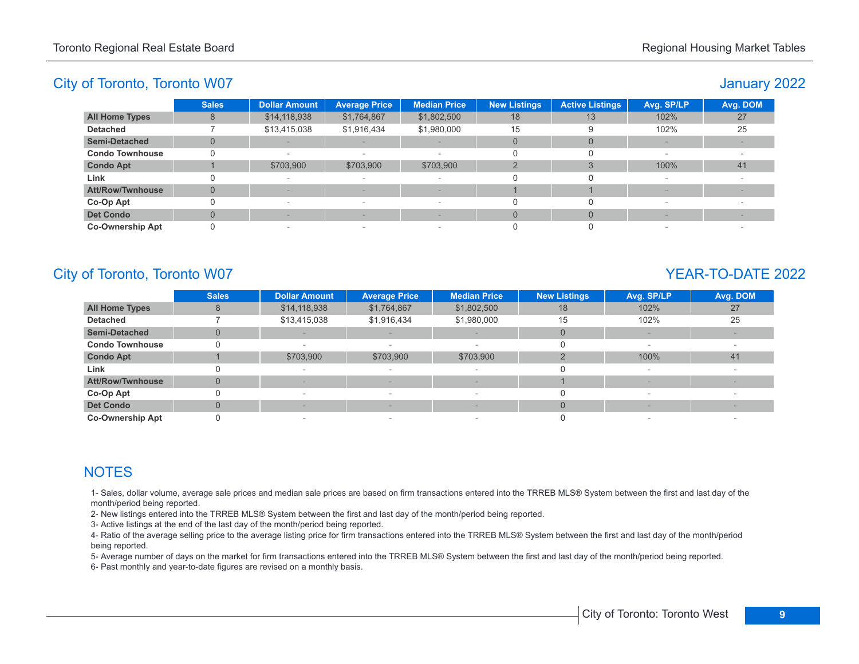# January 2022

|                         | <b>Sales</b> | <b>Dollar Amount</b>     | <b>Average Price</b>     | <b>Median Price</b>      | <b>New Listings</b> | <b>Active Listings</b> | Avg. SP/LP | Avg. DOM |
|-------------------------|--------------|--------------------------|--------------------------|--------------------------|---------------------|------------------------|------------|----------|
| <b>All Home Types</b>   | 8            | \$14,118,938             | \$1,764,867              | \$1,802,500              | 18                  | 13                     | 102%       | 27       |
| <b>Detached</b>         |              | \$13,415,038             | \$1,916,434              | \$1,980,000              | 15                  | 9                      | 102%       | 25       |
| Semi-Detached           |              |                          |                          | $\sim$                   |                     | $\Omega$               |            |          |
| <b>Condo Townhouse</b>  |              | $\overline{\phantom{a}}$ | $\sim$                   | $\overline{\phantom{a}}$ |                     |                        |            |          |
| <b>Condo Apt</b>        |              | \$703,900                | \$703,900                | \$703,900                | $\mathcal{P}$       |                        | 100%       | 41       |
| Link                    |              | $\,$                     | $\overline{\phantom{a}}$ |                          |                     | 0                      |            |          |
| <b>Att/Row/Twnhouse</b> | $\Omega$     |                          |                          | $\frac{1}{2}$            |                     |                        |            |          |
| Co-Op Apt               |              | $\,$                     | $\sim$                   | $\overline{a}$           |                     |                        |            |          |
| <b>Det Condo</b>        |              |                          |                          | -                        |                     | $\Omega$               |            |          |
| <b>Co-Ownership Apt</b> |              | $\overline{\phantom{a}}$ | $\overline{\phantom{a}}$ | $\overline{\phantom{a}}$ |                     |                        |            |          |

# City of Toronto, Toronto W07 YEAR-TO-DATE 2022

|                         | <b>Sales</b> | <b>Dollar Amount</b> | <b>Average Price</b>     | <b>Median Price</b> | <b>New Listings</b> | Avg. SP/LP | Avg. DOM |
|-------------------------|--------------|----------------------|--------------------------|---------------------|---------------------|------------|----------|
| <b>All Home Types</b>   | 8            | \$14,118,938         | \$1,764,867              | \$1,802,500         | 18                  | 102%       | 27       |
| <b>Detached</b>         |              | \$13,415,038         | \$1,916,434              | \$1,980,000         | 15                  | 102%       | 25       |
| <b>Semi-Detached</b>    | $\Omega$     |                      |                          |                     | $\Omega$            |            |          |
| <b>Condo Townhouse</b>  |              |                      |                          |                     |                     |            |          |
| <b>Condo Apt</b>        |              | \$703,900            | \$703,900                | \$703,900           |                     | 100%       | 41       |
| Link                    |              |                      |                          |                     |                     |            |          |
| <b>Att/Row/Twnhouse</b> | $\Omega$     |                      |                          |                     |                     |            |          |
| Co-Op Apt               |              |                      | $\sim$                   |                     |                     |            |          |
| <b>Det Condo</b>        | $\Omega$     |                      |                          | $\frac{1}{2}$       | $\Omega$            |            |          |
| <b>Co-Ownership Apt</b> |              |                      | $\overline{\phantom{a}}$ |                     |                     |            |          |

# **NOTES**

1- Sales, dollar volume, average sale prices and median sale prices are based on firm transactions entered into the TRREB MLS® System between the first and last day of the month/period being reported.

2- New listings entered into the TRREB MLS® System between the first and last day of the month/period being reported.

3- Active listings at the end of the last day of the month/period being reported.

4- Ratio of the average selling price to the average listing price for firm transactions entered into the TRREB MLS® System between the first and last day of the month/period being reported.

5- Average number of days on the market for firm transactions entered into the TRREB MLS® System between the first and last day of the month/period being reported.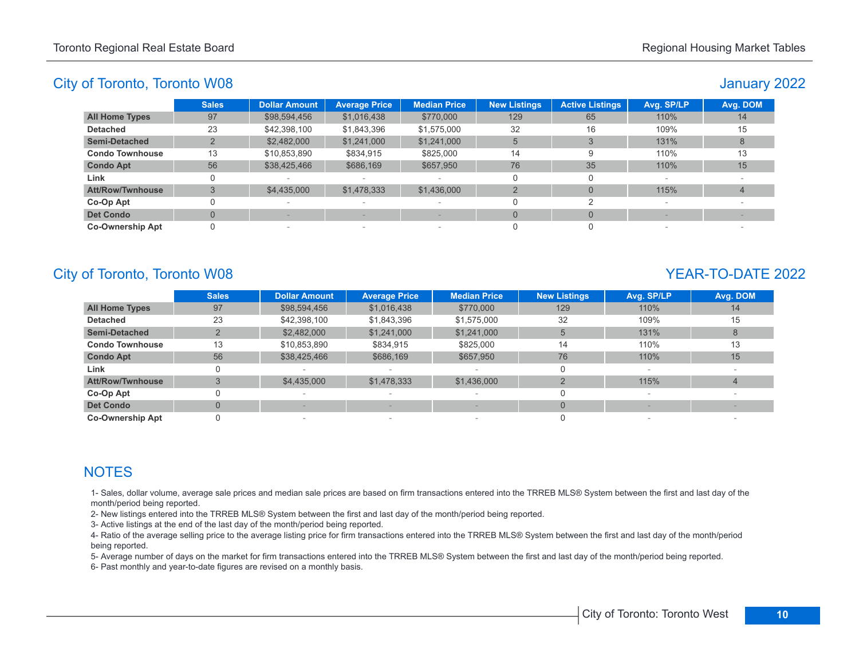# January 2022

|                         | <b>Sales</b> | <b>Dollar Amount</b>     | <b>Average Price</b> | <b>Median Price</b>      | <b>New Listings</b> | <b>Active Listings</b> | Avg. SP/LP | Avg. DOM        |
|-------------------------|--------------|--------------------------|----------------------|--------------------------|---------------------|------------------------|------------|-----------------|
| <b>All Home Types</b>   | 97           | \$98,594,456             | \$1,016,438          | \$770,000                | 129                 | 65                     | 110%       | 14              |
| <b>Detached</b>         | 23           | \$42,398,100             | \$1,843,396          | \$1,575,000              | 32                  | 16                     | 109%       | 15              |
| <b>Semi-Detached</b>    |              | \$2,482,000              | \$1,241,000          | \$1,241,000              | 5                   |                        | 131%       |                 |
| <b>Condo Townhouse</b>  | 13           | \$10,853,890             | \$834,915            | \$825,000                | 14                  | 9                      | 110%       | 13              |
| <b>Condo Apt</b>        | 56           | \$38,425,466             | \$686,169            | \$657,950                | 76                  | 35                     | 110%       | 15 <sup>1</sup> |
| Link                    |              |                          |                      |                          |                     |                        |            |                 |
| <b>Att/Row/Twnhouse</b> |              | \$4,435,000              | \$1,478,333          | \$1,436,000              |                     | $\Omega$               | 115%       |                 |
| Co-Op Apt               |              | $\sim$                   |                      | $\overline{\phantom{0}}$ |                     |                        |            |                 |
| <b>Det Condo</b>        |              |                          |                      |                          | $\Omega$            | $\Omega$               |            |                 |
| <b>Co-Ownership Apt</b> |              | $\overline{\phantom{a}}$ | $\sim$               | $\overline{\phantom{a}}$ |                     |                        |            |                 |

# City of Toronto, Toronto W08 YEAR-TO-DATE 2022

|                         | <b>Sales</b> | <b>Dollar Amount</b> | <b>Average Price</b> | <b>Median Price</b> | <b>New Listings</b> | Avg. SP/LP | Avg. DOM |
|-------------------------|--------------|----------------------|----------------------|---------------------|---------------------|------------|----------|
| <b>All Home Types</b>   | 97           | \$98,594,456         | \$1,016,438          | \$770,000           | 129                 | 110%       | 14       |
| <b>Detached</b>         | 23           | \$42,398,100         | \$1,843,396          | \$1,575,000         | 32                  | 109%       | 15       |
| <b>Semi-Detached</b>    |              | \$2,482,000          | \$1,241,000          | \$1,241,000         | 5                   | 131%       |          |
| <b>Condo Townhouse</b>  | 13           | \$10,853,890         | \$834,915            | \$825,000           | 14                  | 110%       | 13       |
| <b>Condo Apt</b>        | 56           | \$38,425,466         | \$686,169            | \$657,950           | 76                  | 110%       | 15       |
| Link                    | 0            |                      |                      |                     | 0                   |            |          |
| <b>Att/Row/Twnhouse</b> | 3            | \$4,435,000          | \$1,478,333          | \$1,436,000         |                     | 115%       | 4        |
| Co-Op Apt               |              |                      |                      |                     | 0                   |            |          |
| <b>Det Condo</b>        | $\Omega$     |                      |                      |                     | $\Omega$            |            |          |
| <b>Co-Ownership Apt</b> |              |                      | $\sim$               |                     |                     |            |          |

# **NOTES**

1- Sales, dollar volume, average sale prices and median sale prices are based on firm transactions entered into the TRREB MLS® System between the first and last day of the month/period being reported.

2- New listings entered into the TRREB MLS® System between the first and last day of the month/period being reported.

3- Active listings at the end of the last day of the month/period being reported.

4- Ratio of the average selling price to the average listing price for firm transactions entered into the TRREB MLS® System between the first and last day of the month/period being reported.

5- Average number of days on the market for firm transactions entered into the TRREB MLS® System between the first and last day of the month/period being reported.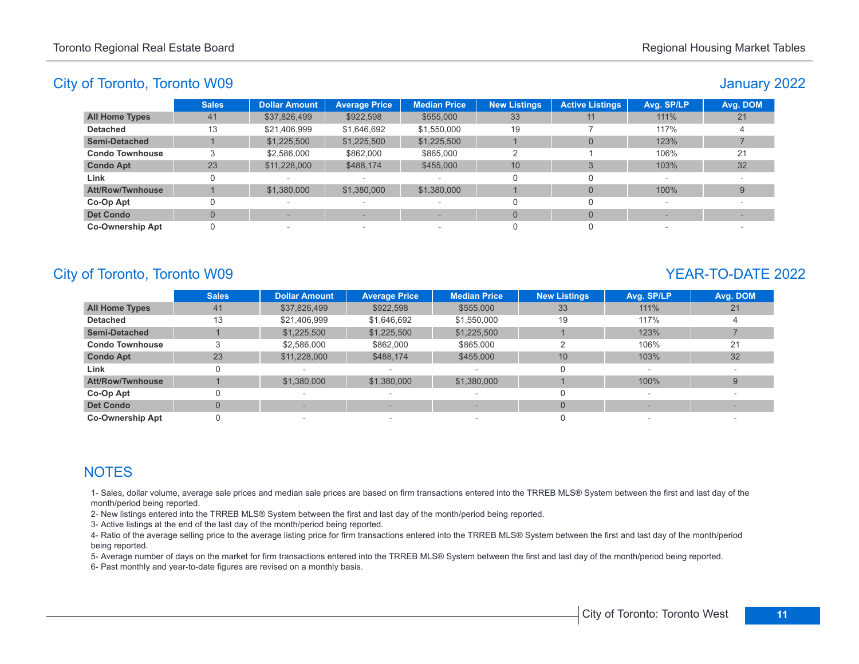# January 2022

|                         | <b>Sales</b> | <b>Dollar Amount</b> | <b>Average Price</b>     | <b>Median Price</b>      | <b>New Listings</b> | <b>Active Listings</b> | Avg. SP/LP | Avg. DOM |
|-------------------------|--------------|----------------------|--------------------------|--------------------------|---------------------|------------------------|------------|----------|
| <b>All Home Types</b>   | 41           | \$37,826,499         | \$922,598                | \$555,000                | 33                  | 11                     | 111%       | 21       |
| <b>Detached</b>         | 13           | \$21,406,999         | \$1,646,692              | \$1,550,000              | 19                  |                        | 117%       |          |
| <b>Semi-Detached</b>    |              | \$1,225,500          | \$1,225,500              | \$1,225,500              |                     | $\Omega$               | 123%       |          |
| <b>Condo Townhouse</b>  |              | \$2,586,000          | \$862,000                | \$865,000                |                     |                        | 106%       | 21       |
| <b>Condo Apt</b>        | 23           | \$11,228,000         | \$488,174                | \$455,000                | 10                  | $\Omega$               | 103%       | 32       |
| Link                    |              |                      | $\sim$                   |                          |                     |                        |            |          |
| <b>Att/Row/Twnhouse</b> |              | \$1,380,000          | \$1,380,000              | \$1,380,000              |                     | $\Omega$               | 100%       | 9        |
| Co-Op Apt               |              |                      | $\overline{\phantom{a}}$ | $\overline{\phantom{a}}$ |                     |                        |            |          |
| <b>Det Condo</b>        |              |                      |                          |                          | $\Omega$            | $\Omega$               |            |          |
| <b>Co-Ownership Apt</b> |              | $\sim$               | $\sim$                   | $\overline{\phantom{0}}$ |                     |                        |            |          |

# City of Toronto, Toronto W09 YEAR-TO-DATE 2022

|                         | <b>Sales</b> | <b>Dollar Amount</b> | <b>Average Price</b> | <b>Median Price</b> | <b>New Listings</b> | Avg. SP/LP | Avg. DOM |
|-------------------------|--------------|----------------------|----------------------|---------------------|---------------------|------------|----------|
| <b>All Home Types</b>   | 41           | \$37,826,499         | \$922,598            | \$555,000           | 33                  | 111%       | 21       |
| <b>Detached</b>         | 13           | \$21,406,999         | \$1.646.692          | \$1,550,000         | 19                  | 117%       |          |
| <b>Semi-Detached</b>    |              | \$1,225,500          | \$1,225,500          | \$1,225,500         |                     | 123%       |          |
| <b>Condo Townhouse</b>  | 3            | \$2,586,000          | \$862,000            | \$865,000           |                     | 106%       | 21       |
| <b>Condo Apt</b>        | 23           | \$11,228,000         | \$488,174            | \$455,000           | 10 <sup>1</sup>     | 103%       | 32       |
| Link                    |              |                      |                      |                     | 0                   |            |          |
| <b>Att/Row/Twnhouse</b> |              | \$1,380,000          | \$1,380,000          | \$1,380,000         |                     | 100%       | 9        |
| Co-Op Apt               |              |                      |                      |                     | 0                   |            |          |
| <b>Det Condo</b>        | $\Omega$     |                      |                      |                     | $\Omega$            |            |          |
| <b>Co-Ownership Apt</b> |              |                      | $\sim$               |                     |                     |            |          |

# **NOTES**

1- Sales, dollar volume, average sale prices and median sale prices are based on firm transactions entered into the TRREB MLS® System between the first and last day of the month/period being reported.

2- New listings entered into the TRREB MLS® System between the first and last day of the month/period being reported.

3- Active listings at the end of the last day of the month/period being reported.

4- Ratio of the average selling price to the average listing price for firm transactions entered into the TRREB MLS® System between the first and last day of the month/period being reported.

5- Average number of days on the market for firm transactions entered into the TRREB MLS® System between the first and last day of the month/period being reported.